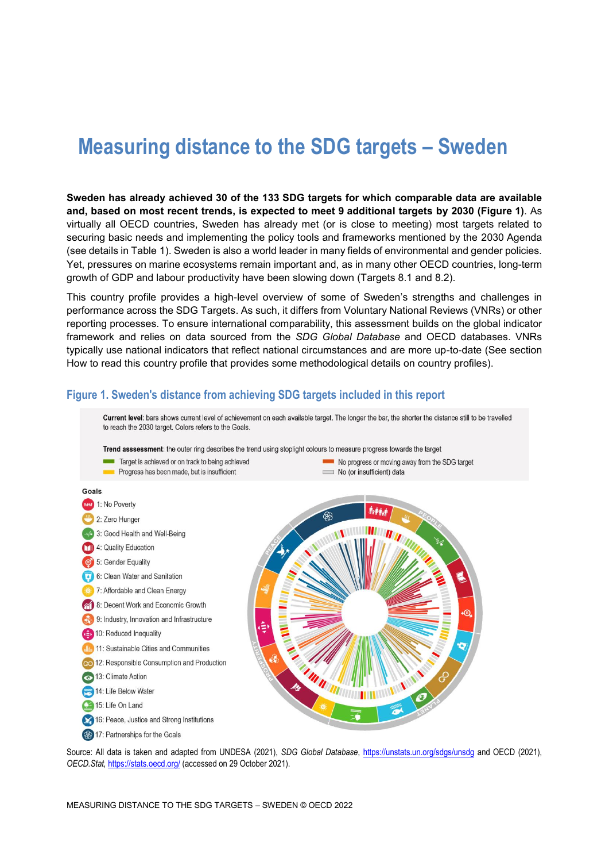# **Measuring distance to the SDG targets – Sweden**

**Sweden has already achieved 30 of the 133 SDG targets for which comparable data are available and, based on most recent trends, is expected to meet 9 additional targets by 2030 [\(Figure](#page-0-0) 1)**. As virtually all OECD countries, Sweden has already met (or is close to meeting) most targets related to securing basic needs and implementing the policy tools and frameworks mentioned by the 2030 Agenda (see details in [Table](#page-3-0) 1). Sweden is also a world leader in many fields of environmental and gender policies. Yet, pressures on marine ecosystems remain important and, as in many other OECD countries, long-term growth of GDP and labour productivity have been slowing down (Targets 8.1 and 8.2).

This country profile provides a high-level overview of some of Sweden's strengths and challenges in performance across the SDG Targets. As such, it differs from Voluntary National Reviews (VNRs) or other reporting processes. To ensure international comparability, this assessment builds on the global indicator framework and relies on data sourced from the *SDG Global Database* and OECD databases. VNRs typically use national indicators that reflect national circumstances and are more up-to-date (See section [How to read this](#page-8-0) country profile that provides some methodological details on country profiles).



<span id="page-0-0"></span>**Figure 1. Sweden's distance from achieving SDG targets included in this report**

Source: All data is taken and adapted from UNDESA (2021), *SDG Global Database*,<https://unstats.un.org/sdgs/unsdg> and OECD (2021), *OECD.Stat,* <https://stats.oecd.org/> (accessed on 29 October 2021).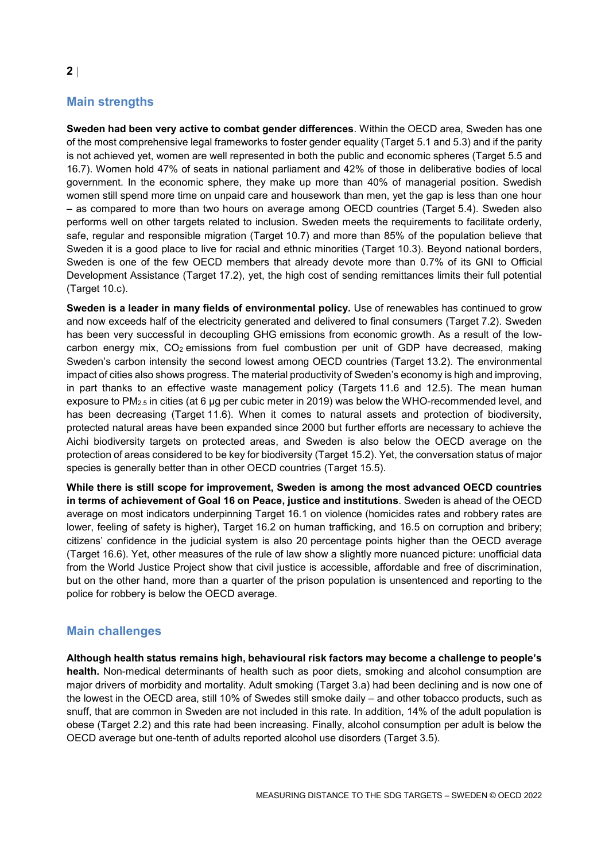# **Main strengths**

**Sweden had been very active to combat gender differences**. Within the OECD area, Sweden has one of the most comprehensive legal frameworks to foster gender equality (Target 5.1 and 5.3) and if the parity is not achieved yet, women are well represented in both the public and economic spheres (Target 5.5 and 16.7). Women hold 47% of seats in national parliament and 42% of those in deliberative bodies of local government. In the economic sphere, they make up more than 40% of managerial position. Swedish women still spend more time on unpaid care and housework than men, yet the gap is less than one hour – as compared to more than two hours on average among OECD countries (Target 5.4). Sweden also performs well on other targets related to inclusion. Sweden meets the requirements to facilitate orderly, safe, regular and responsible migration (Target 10.7) and more than 85% of the population believe that Sweden it is a good place to live for racial and ethnic minorities (Target 10.3). Beyond national borders, Sweden is one of the few OECD members that already devote more than 0.7% of its GNI to Official Development Assistance (Target 17.2), yet, the high cost of sending remittances limits their full potential (Target 10.c).

**Sweden is a leader in many fields of environmental policy.** Use of renewables has continued to grow and now exceeds half of the electricity generated and delivered to final consumers (Target 7.2). Sweden has been very successful in decoupling GHG emissions from economic growth. As a result of the lowcarbon energy mix,  $CO<sub>2</sub>$  emissions from fuel combustion per unit of GDP have decreased, making Sweden's carbon intensity the second lowest among OECD countries (Target 13.2). The environmental impact of cities also shows progress. The material productivity of Sweden's economy is high and improving, in part thanks to an effective waste management policy (Targets 11.6 and 12.5). The mean human exposure to  $PM_{2.5}$  in cities (at 6 µg per cubic meter in 2019) was below the WHO-recommended level, and has been decreasing (Target 11.6). When it comes to natural assets and protection of biodiversity, protected natural areas have been expanded since 2000 but further efforts are necessary to achieve the Aichi biodiversity targets on protected areas, and Sweden is also below the OECD average on the protection of areas considered to be key for biodiversity (Target 15.2). Yet, the conversation status of major species is generally better than in other OECD countries (Target 15.5).

**While there is still scope for improvement, Sweden is among the most advanced OECD countries in terms of achievement of Goal 16 on Peace, justice and institutions**. Sweden is ahead of the OECD average on most indicators underpinning Target 16.1 on violence (homicides rates and robbery rates are lower, feeling of safety is higher), Target 16.2 on human trafficking, and 16.5 on corruption and bribery; citizens' confidence in the judicial system is also 20 percentage points higher than the OECD average (Target 16.6). Yet, other measures of the rule of law show a slightly more nuanced picture: unofficial data from the World Justice Project show that civil justice is accessible, affordable and free of discrimination, but on the other hand, more than a quarter of the prison population is unsentenced and reporting to the police for robbery is below the OECD average.

## **Main challenges**

**Although health status remains high, behavioural risk factors may become a challenge to people's health.** Non-medical determinants of health such as poor diets, smoking and alcohol consumption are major drivers of morbidity and mortality. Adult smoking (Target 3.a) had been declining and is now one of the lowest in the OECD area, still 10% of Swedes still smoke daily – and other tobacco products, such as snuff, that are common in Sweden are not included in this rate. In addition, 14% of the adult population is obese (Target 2.2) and this rate had been increasing. Finally, alcohol consumption per adult is below the OECD average but one-tenth of adults reported alcohol use disorders (Target 3.5).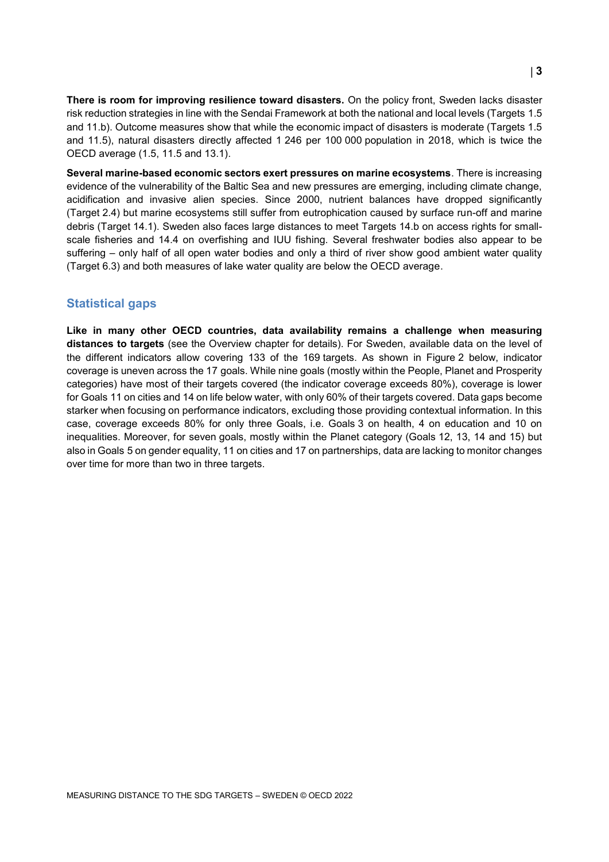**There is room for improving resilience toward disasters.** On the policy front, Sweden lacks disaster risk reduction strategies in line with the Sendai Framework at both the national and local levels (Targets 1.5 and 11.b). Outcome measures show that while the economic impact of disasters is moderate (Targets 1.5 and 11.5), natural disasters directly affected 1 246 per 100 000 population in 2018, which is twice the OECD average (1.5, 11.5 and 13.1).

**Several marine-based economic sectors exert pressures on marine ecosystems**. There is increasing evidence of the vulnerability of the Baltic Sea and new pressures are emerging, including climate change, acidification and invasive alien species. Since 2000, nutrient balances have dropped significantly (Target 2.4) but marine ecosystems still suffer from eutrophication caused by surface run-off and marine debris (Target 14.1). Sweden also faces large distances to meet Targets 14.b on access rights for smallscale fisheries and 14.4 on overfishing and IUU fishing. Several freshwater bodies also appear to be suffering – only half of all open water bodies and only a third of river show good ambient water quality (Target 6.3) and both measures of lake water quality are below the OECD average.

## **Statistical gaps**

**Like in many other OECD countries, data availability remains a challenge when measuring distances to targets** (see the Overview chapter for details). For Sweden, available data on the level of the different indicators allow covering 133 of the 169 targets. As shown in [Figure](#page-3-1) 2 below, indicator coverage is uneven across the 17 goals. While nine goals (mostly within the People, Planet and Prosperity categories) have most of their targets covered (the indicator coverage exceeds 80%), coverage is lower for Goals 11 on cities and 14 on life below water, with only 60% of their targets covered. Data gaps become starker when focusing on performance indicators, excluding those providing contextual information. In this case, coverage exceeds 80% for only three Goals, i.e. Goals 3 on health, 4 on education and 10 on inequalities. Moreover, for seven goals, mostly within the Planet category (Goals 12, 13, 14 and 15) but also in Goals 5 on gender equality, 11 on cities and 17 on partnerships, data are lacking to monitor changes over time for more than two in three targets.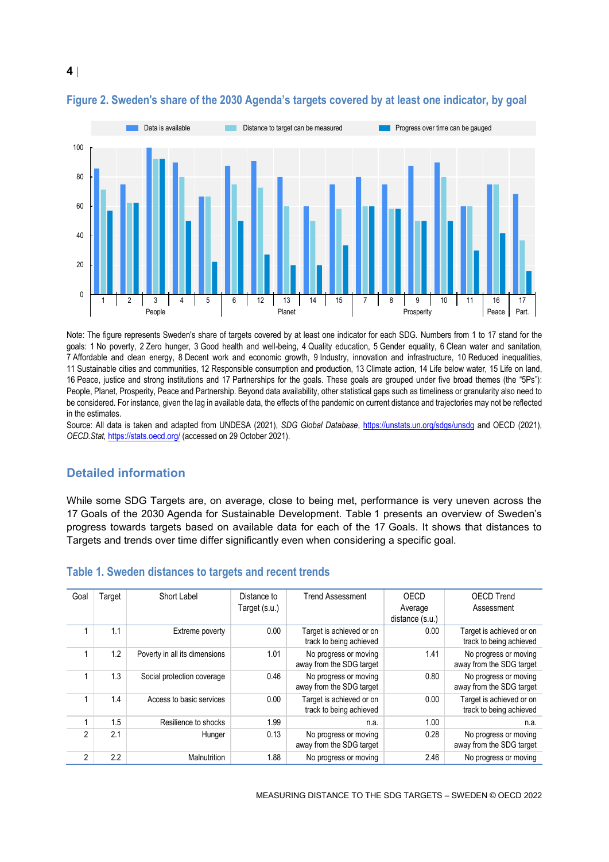

## <span id="page-3-1"></span>**Figure 2. Sweden's share of the 2030 Agenda's targets covered by at least one indicator, by goal**

Note: The figure represents Sweden's share of targets covered by at least one indicator for each SDG. Numbers from 1 to 17 stand for the goals: 1 No poverty, 2 Zero hunger, 3 Good health and well-being, 4 Quality education, 5 Gender equality, 6 Clean water and sanitation, 7 Affordable and clean energy, 8 Decent work and economic growth, 9 Industry, innovation and infrastructure, 10 Reduced inequalities, 11 Sustainable cities and communities, 12 Responsible consumption and production, 13 Climate action, 14 Life below water, 15 Life on land, 16 Peace, justice and strong institutions and 17 Partnerships for the goals. These goals are grouped under five broad themes (the "5Ps"): People, Planet, Prosperity, Peace and Partnership. Beyond data availability, other statistical gaps such as timeliness or granularity also need to be considered. For instance, given the lag in available data, the effects of the pandemic on current distance and trajectories may not be reflected in the estimates.

Source: All data is taken and adapted from UNDESA (2021), *SDG Global Database*,<https://unstats.un.org/sdgs/unsdg> and OECD (2021), *OECD.Stat,* <https://stats.oecd.org/> (accessed on 29 October 2021).

## **Detailed information**

While some SDG Targets are, on average, close to being met, performance is very uneven across the 17 Goals of the 2030 Agenda for Sustainable Development. [Table](#page-3-0) 1 presents an overview of Sweden's progress towards targets based on available data for each of the 17 Goals. It shows that distances to Targets and trends over time differ significantly even when considering a specific goal.

| Goal | <b>Target</b> | Short Label                   | Distance to<br>Target (s.u.) | <b>Trend Assessment</b>                             | OECD<br>Average<br>distance (s.u.) | <b>OECD Trend</b><br>Assessment                     |
|------|---------------|-------------------------------|------------------------------|-----------------------------------------------------|------------------------------------|-----------------------------------------------------|
|      | 1.1           | Extreme poverty               | 0.00                         | Target is achieved or on<br>track to being achieved | 0.00                               | Target is achieved or on<br>track to being achieved |
|      | 1.2           | Poverty in all its dimensions | 1.01                         | No progress or moving<br>away from the SDG target   | 1.41                               | No progress or moving<br>away from the SDG target   |
|      | 1.3           | Social protection coverage    | 0.46                         | No progress or moving<br>away from the SDG target   | 0.80                               | No progress or moving<br>away from the SDG target   |
|      | 1.4           | Access to basic services      | 0.00                         | Target is achieved or on<br>track to being achieved | 0.00                               | Target is achieved or on<br>track to being achieved |
|      | 1.5           | Resilience to shocks          | 1.99                         | n.a.                                                | 1.00                               | n.a.                                                |
| 2    | 2.1           | Hunger                        | 0.13                         | No progress or moving<br>away from the SDG target   | 0.28                               | No progress or moving<br>away from the SDG target   |
| 2    | 2.2           | Malnutrition                  | 1.88                         | No progress or moving                               | 2.46                               | No progress or moving                               |

#### <span id="page-3-0"></span>**Table 1. Sweden distances to targets and recent trends**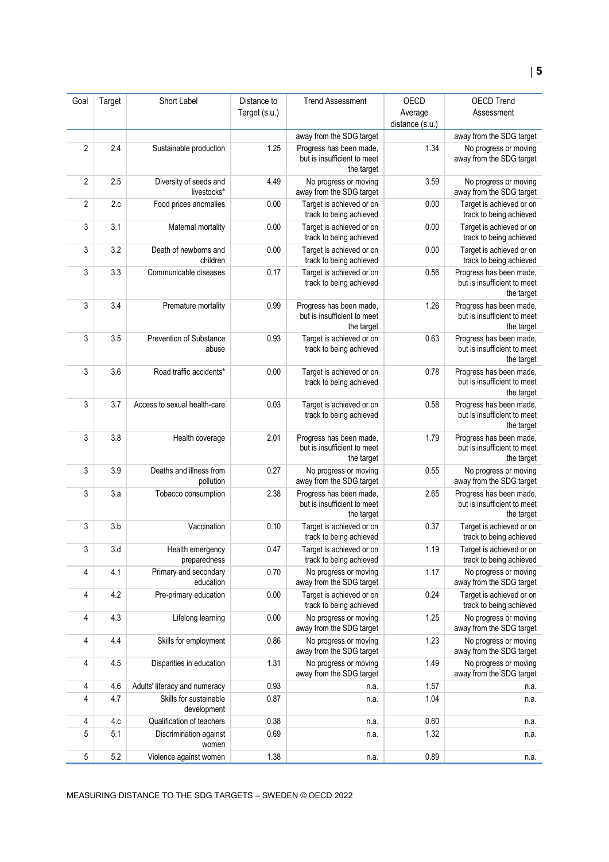| Goal           | Target | Short Label                           | Distance to   | <b>Trend Assessment</b>                                              | OECD            | <b>OECD Trend</b>                                                    |
|----------------|--------|---------------------------------------|---------------|----------------------------------------------------------------------|-----------------|----------------------------------------------------------------------|
|                |        |                                       | Target (s.u.) |                                                                      | Average         | Assessment                                                           |
|                |        |                                       |               |                                                                      | distance (s.u.) |                                                                      |
|                |        |                                       |               | away from the SDG target                                             |                 | away from the SDG target                                             |
| $\overline{2}$ | 2.4    | Sustainable production                | 1.25          | Progress has been made,<br>but is insufficient to meet<br>the target | 1.34            | No progress or moving<br>away from the SDG target                    |
| $\overline{2}$ | 2.5    | Diversity of seeds and<br>livestocks* | 4.49          | No progress or moving<br>away from the SDG target                    | 3.59            | No progress or moving<br>away from the SDG target                    |
| $\overline{2}$ | 2.c    | Food prices anomalies                 | 0.00          | Target is achieved or on<br>track to being achieved                  | 0.00            | Target is achieved or on<br>track to being achieved                  |
| 3              | 3.1    | Maternal mortality                    | 0.00          | Target is achieved or on<br>track to being achieved                  | 0.00            | Target is achieved or on<br>track to being achieved                  |
| 3              | 3.2    | Death of newborns and<br>children     | 0.00          | Target is achieved or on<br>track to being achieved                  | 0.00            | Target is achieved or on<br>track to being achieved                  |
| 3              | 3.3    | Communicable diseases                 | 0.17          | Target is achieved or on<br>track to being achieved                  | 0.56            | Progress has been made,<br>but is insufficient to meet<br>the target |
| 3              | 3.4    | Premature mortality                   | 0.99          | Progress has been made,<br>but is insufficient to meet<br>the target | 1.26            | Progress has been made,<br>but is insufficient to meet<br>the target |
| 3              | 3.5    | Prevention of Substance<br>abuse      | 0.93          | Target is achieved or on<br>track to being achieved                  | 0.63            | Progress has been made,<br>but is insufficient to meet<br>the target |
| 3              | 3.6    | Road traffic accidents*               | 0.00          | Target is achieved or on<br>track to being achieved                  | 0.78            | Progress has been made,<br>but is insufficient to meet<br>the target |
| 3              | 3.7    | Access to sexual health-care          | 0.03          | Target is achieved or on<br>track to being achieved                  | 0.58            | Progress has been made,<br>but is insufficient to meet<br>the target |
| 3              | 3.8    | Health coverage                       | 2.01          | Progress has been made,<br>but is insufficient to meet<br>the target | 1.79            | Progress has been made,<br>but is insufficient to meet<br>the target |
| 3              | 3.9    | Deaths and illness from<br>pollution  | 0.27          | No progress or moving<br>away from the SDG target                    | 0.55            | No progress or moving<br>away from the SDG target                    |
| 3              | 3.a    | Tobacco consumption                   | 2.38          | Progress has been made,<br>but is insufficient to meet<br>the target | 2.65            | Progress has been made,<br>but is insufficient to meet<br>the target |
| 3              | 3.b    | Vaccination                           | 0.10          | Target is achieved or on<br>track to being achieved                  | 0.37            | Target is achieved or on<br>track to being achieved                  |
| 3              | 3.d    | Health emergency<br>preparedness      | 0.47          | Target is achieved or on<br>track to being achieved                  | 1.19            | Target is achieved or on<br>track to being achieved                  |
| 4              | 4.1    | Primary and secondary<br>education    | 0.70          | No progress or moving<br>away from the SDG target                    | 1.17            | No progress or moving<br>away from the SDG target                    |
| 4              | 4.2    | Pre-primary education                 | 0.00          | Target is achieved or on<br>track to being achieved                  | 0.24            | Target is achieved or on<br>track to being achieved                  |
| 4              | 4.3    | Lifelong learning                     | 0.00          | No progress or moving<br>away from the SDG target                    | 1.25            | No progress or moving<br>away from the SDG target                    |
| 4              | 4.4    | Skills for employment                 | 0.86          | No progress or moving<br>away from the SDG target                    | 1.23            | No progress or moving<br>away from the SDG target                    |
| 4              | 4.5    | Disparities in education              | 1.31          | No progress or moving<br>away from the SDG target                    | 1.49            | No progress or moving<br>away from the SDG target                    |
| 4              | 4.6    | Adults' literacy and numeracy         | 0.93          | n.a.                                                                 | 1.57            | n.a.                                                                 |
| 4              | 4.7    | Skills for sustainable<br>development | 0.87          | n.a.                                                                 | 1.04            | n.a.                                                                 |
| 4              | 4.c    | Qualification of teachers             | 0.38          | n.a.                                                                 | 0.60            | n.a.                                                                 |
| 5              | 5.1    | Discrimination against<br>women       | 0.69          | n.a.                                                                 | 1.32            | n.a.                                                                 |
| 5              | 5.2    | Violence against women                | 1.38          | n.a.                                                                 | 0.89            | n.a.                                                                 |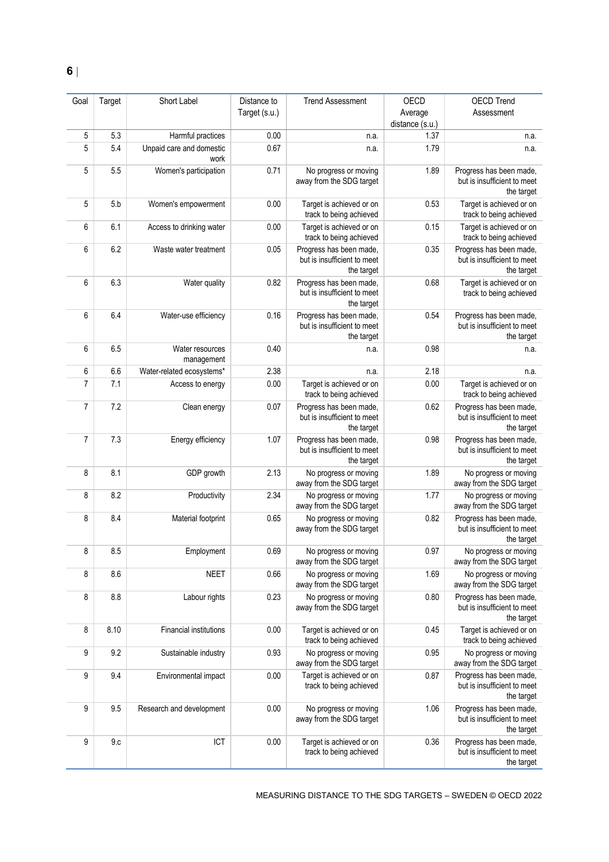| Goal           | Target | Short Label                      | Distance to   | <b>Trend Assessment</b>                                              | OECD                       | <b>OECD Trend</b>                                                    |
|----------------|--------|----------------------------------|---------------|----------------------------------------------------------------------|----------------------------|----------------------------------------------------------------------|
|                |        |                                  | Target (s.u.) |                                                                      | Average<br>distance (s.u.) | Assessment                                                           |
| 5              | 5.3    | Harmful practices                | 0.00          | n.a.                                                                 | 1.37                       | n.a.                                                                 |
| 5              | 5.4    | Unpaid care and domestic<br>work | 0.67          | n.a.                                                                 | 1.79                       | n.a.                                                                 |
| 5              | 5.5    | Women's participation            | 0.71          | No progress or moving<br>away from the SDG target                    | 1.89                       | Progress has been made,<br>but is insufficient to meet<br>the target |
| 5              | 5.b    | Women's empowerment              | 0.00          | Target is achieved or on<br>track to being achieved                  | 0.53                       | Target is achieved or on<br>track to being achieved                  |
| 6              | 6.1    | Access to drinking water         | 0.00          | Target is achieved or on<br>track to being achieved                  | 0.15                       | Target is achieved or on<br>track to being achieved                  |
| 6              | 6.2    | Waste water treatment            | 0.05          | Progress has been made,<br>but is insufficient to meet<br>the target | 0.35                       | Progress has been made,<br>but is insufficient to meet<br>the target |
| 6              | 6.3    | Water quality                    | 0.82          | Progress has been made,<br>but is insufficient to meet<br>the target | 0.68                       | Target is achieved or on<br>track to being achieved                  |
| 6              | 6.4    | Water-use efficiency             | 0.16          | Progress has been made,<br>but is insufficient to meet<br>the target | 0.54                       | Progress has been made,<br>but is insufficient to meet<br>the target |
| 6              | 6.5    | Water resources<br>management    | 0.40          | n.a.                                                                 | 0.98                       | n.a.                                                                 |
| 6              | 6.6    | Water-related ecosystems*        | 2.38          | n.a.                                                                 | 2.18                       | n.a.                                                                 |
| $\overline{7}$ | 7.1    | Access to energy                 | 0.00          | Target is achieved or on<br>track to being achieved                  | 0.00                       | Target is achieved or on<br>track to being achieved                  |
| 7              | 7.2    | Clean energy                     | 0.07          | Progress has been made,<br>but is insufficient to meet<br>the target | 0.62                       | Progress has been made,<br>but is insufficient to meet<br>the target |
| $\overline{7}$ | 7.3    | Energy efficiency                | 1.07          | Progress has been made,<br>but is insufficient to meet<br>the target | 0.98                       | Progress has been made,<br>but is insufficient to meet<br>the target |
| 8              | 8.1    | GDP growth                       | 2.13          | No progress or moving<br>away from the SDG target                    | 1.89                       | No progress or moving<br>away from the SDG target                    |
| 8              | 8.2    | Productivity                     | 2.34          | No progress or moving<br>away from the SDG target                    | 1.77                       | No progress or moving<br>away from the SDG target                    |
| 8              | 8.4    | Material footprint               | 0.65          | No progress or moving<br>away from the SDG target                    | 0.82                       | Progress has been made,<br>but is insufficient to meet<br>the target |
| 8              | 8.5    | Employment                       | 0.69          | No progress or moving<br>away from the SDG target                    | 0.97                       | No progress or moving<br>away from the SDG target                    |
| 8              | 8.6    | <b>NEET</b>                      | 0.66          | No progress or moving<br>away from the SDG target                    | 1.69                       | No progress or moving<br>away from the SDG target                    |
| 8              | 8.8    | Labour rights                    | 0.23          | No progress or moving<br>away from the SDG target                    | 0.80                       | Progress has been made,<br>but is insufficient to meet<br>the target |
| 8              | 8.10   | <b>Financial institutions</b>    | 0.00          | Target is achieved or on<br>track to being achieved                  | 0.45                       | Target is achieved or on<br>track to being achieved                  |
| 9              | 9.2    | Sustainable industry             | 0.93          | No progress or moving<br>away from the SDG target                    | 0.95                       | No progress or moving<br>away from the SDG target                    |
| 9              | 9.4    | Environmental impact             | 0.00          | Target is achieved or on<br>track to being achieved                  | 0.87                       | Progress has been made,<br>but is insufficient to meet<br>the target |
| 9              | 9.5    | Research and development         | 0.00          | No progress or moving<br>away from the SDG target                    | 1.06                       | Progress has been made,<br>but is insufficient to meet<br>the target |
| 9              | 9.c    | ICT                              | $0.00\,$      | Target is achieved or on<br>track to being achieved                  | 0.36                       | Progress has been made,<br>but is insufficient to meet<br>the target |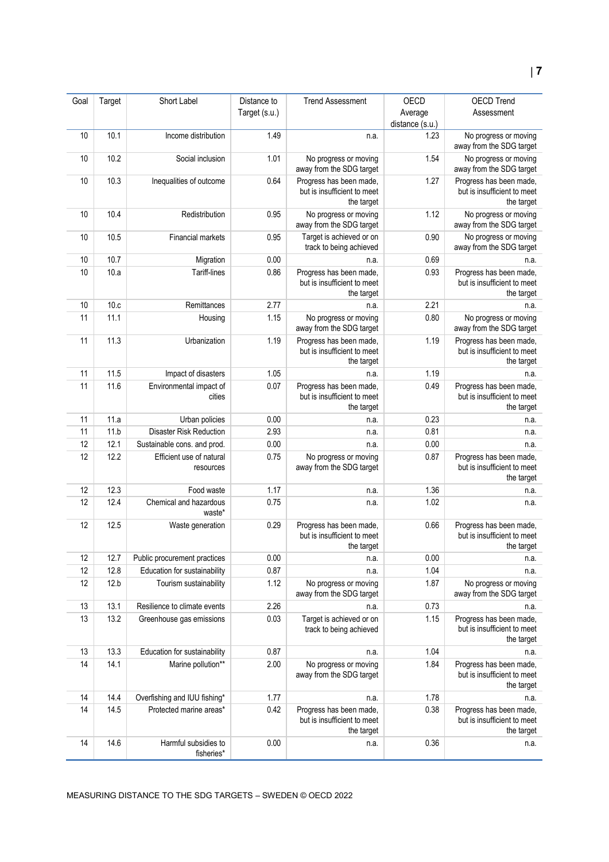| Goal | Target | Short Label                      | Distance to   | <b>Trend Assessment</b>                                | OECD            | <b>OECD Trend</b>                                      |
|------|--------|----------------------------------|---------------|--------------------------------------------------------|-----------------|--------------------------------------------------------|
|      |        |                                  | Target (s.u.) |                                                        | Average         | Assessment                                             |
|      |        |                                  |               |                                                        | distance (s.u.) |                                                        |
| 10   | 10.1   | Income distribution              | 1.49          | n.a.                                                   | 1.23            | No progress or moving<br>away from the SDG target      |
| 10   | 10.2   | Social inclusion                 | 1.01          |                                                        | 1.54            | No progress or moving                                  |
|      |        |                                  |               | No progress or moving<br>away from the SDG target      |                 | away from the SDG target                               |
| 10   | 10.3   | Inequalities of outcome          | 0.64          | Progress has been made,                                | 1.27            | Progress has been made,                                |
|      |        |                                  |               | but is insufficient to meet                            |                 | but is insufficient to meet                            |
|      |        |                                  |               | the target                                             |                 | the target                                             |
| 10   | 10.4   | Redistribution                   | 0.95          | No progress or moving<br>away from the SDG target      | 1.12            | No progress or moving<br>away from the SDG target      |
| 10   | 10.5   | Financial markets                | 0.95          | Target is achieved or on                               | 0.90            | No progress or moving                                  |
|      |        |                                  |               | track to being achieved                                |                 | away from the SDG target                               |
| 10   | 10.7   | Migration                        | 0.00          | n.a.                                                   | 0.69            | n.a.                                                   |
| 10   | 10.a   | Tariff-lines                     | 0.86          | Progress has been made,                                | 0.93            | Progress has been made,                                |
|      |        |                                  |               | but is insufficient to meet                            |                 | but is insufficient to meet                            |
|      |        |                                  |               | the target                                             |                 | the target                                             |
| 10   | 10.c   | Remittances                      | 2.77          | n.a.                                                   | 2.21            | n.a.                                                   |
| 11   | 11.1   | Housing                          | 1.15          | No progress or moving                                  | 0.80            | No progress or moving                                  |
|      | 11.3   |                                  | 1.19          | away from the SDG target                               | 1.19            | away from the SDG target                               |
| 11   |        | Urbanization                     |               | Progress has been made,<br>but is insufficient to meet |                 | Progress has been made,<br>but is insufficient to meet |
|      |        |                                  |               | the target                                             |                 | the target                                             |
| 11   | 11.5   | Impact of disasters              | 1.05          | n.a.                                                   | 1.19            | n.a.                                                   |
| 11   | 11.6   | Environmental impact of          | 0.07          | Progress has been made,                                | 0.49            | Progress has been made,                                |
|      |        | cities                           |               | but is insufficient to meet                            |                 | but is insufficient to meet                            |
|      |        |                                  |               | the target                                             |                 | the target                                             |
| 11   | 11.a   | Urban policies                   | 0.00          | n.a.                                                   | 0.23            | n.a.                                                   |
| 11   | 11.b   | <b>Disaster Risk Reduction</b>   | 2.93          | n.a.                                                   | 0.81            | n.a.                                                   |
| 12   | 12.1   | Sustainable cons. and prod.      | 0.00          | n.a.                                                   | 0.00            | n.a.                                                   |
| 12   | 12.2   | Efficient use of natural         | 0.75          | No progress or moving                                  | 0.87            | Progress has been made,                                |
|      |        | resources                        |               | away from the SDG target                               |                 | but is insufficient to meet                            |
|      |        |                                  |               |                                                        |                 | the target                                             |
| 12   | 12.3   | Food waste                       | 1.17          | n.a.                                                   | 1.36            | n.a.                                                   |
| 12   | 12.4   | Chemical and hazardous<br>waste* | 0.75          | n.a.                                                   | 1.02            | n.a.                                                   |
| 12   | 12.5   | Waste generation                 | 0.29          | Progress has been made,                                | 0.66            | Progress has been made,                                |
|      |        |                                  |               | but is insufficient to meet                            |                 | but is insufficient to meet                            |
|      |        |                                  |               | the target                                             |                 | the target                                             |
| 12   | 12.7   | Public procurement practices     | 0.00          | n.a.                                                   | 0.00            | n.a.                                                   |
| 12   | 12.8   | Education for sustainability     | 0.87          | n.a.                                                   | 1.04            | n.a.                                                   |
| 12   | 12.b   | Tourism sustainability           | 1.12          | No progress or moving                                  | 1.87            | No progress or moving                                  |
|      |        |                                  |               | away from the SDG target                               |                 | away from the SDG target                               |
| 13   | 13.1   | Resilience to climate events     | 2.26          | n.a.                                                   | 0.73            | n.a.                                                   |
| 13   | 13.2   | Greenhouse gas emissions         | 0.03          | Target is achieved or on                               | 1.15            | Progress has been made,                                |
|      |        |                                  |               | track to being achieved                                |                 | but is insufficient to meet                            |
|      |        |                                  |               |                                                        |                 | the target                                             |
| 13   | 13.3   | Education for sustainability     | 0.87          | n.a.                                                   | 1.04            | n.a.                                                   |
| 14   | 14.1   | Marine pollution**               | 2.00          | No progress or moving                                  | 1.84            | Progress has been made,                                |
|      |        |                                  |               | away from the SDG target                               |                 | but is insufficient to meet                            |
|      |        |                                  |               |                                                        |                 | the target                                             |
| 14   | 14.4   | Overfishing and IUU fishing*     | 1.77          | n.a.                                                   | 1.78            | n.a.                                                   |
| 14   | 14.5   | Protected marine areas*          | 0.42          | Progress has been made,<br>but is insufficient to meet | 0.38            | Progress has been made,<br>but is insufficient to meet |
|      |        |                                  |               | the target                                             |                 | the target                                             |
| 14   | 14.6   | Harmful subsidies to             | 0.00          | n.a.                                                   | 0.36            | n.a.                                                   |
|      |        | fisheries*                       |               |                                                        |                 |                                                        |
|      |        |                                  |               |                                                        |                 |                                                        |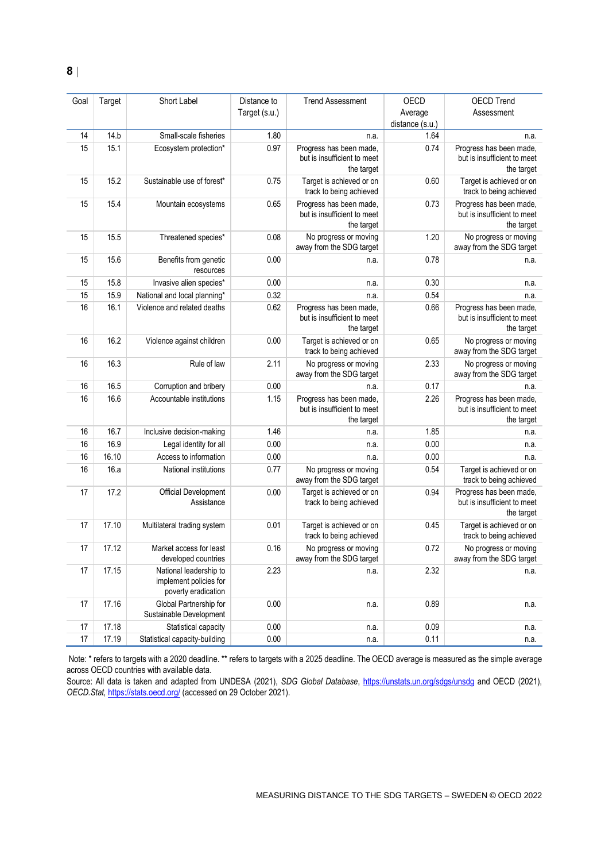| Goal | Target | Short Label                                                             | Distance to<br>Target (s.u.) | <b>Trend Assessment</b>                                              | OECD<br>Average<br>distance (s.u.) | <b>OECD Trend</b><br>Assessment                                      |
|------|--------|-------------------------------------------------------------------------|------------------------------|----------------------------------------------------------------------|------------------------------------|----------------------------------------------------------------------|
| 14   | 14.b   | Small-scale fisheries                                                   | 1.80                         | n.a.                                                                 | 1.64                               | n.a.                                                                 |
| 15   | 15.1   | Ecosystem protection*                                                   | 0.97                         | Progress has been made,<br>but is insufficient to meet<br>the target | 0.74                               | Progress has been made,<br>but is insufficient to meet<br>the target |
| 15   | 15.2   | Sustainable use of forest*                                              | 0.75                         | Target is achieved or on<br>track to being achieved                  | 0.60                               | Target is achieved or on<br>track to being achieved                  |
| 15   | 15.4   | Mountain ecosystems                                                     | 0.65                         | Progress has been made,<br>but is insufficient to meet<br>the target | 0.73                               | Progress has been made,<br>but is insufficient to meet<br>the target |
| 15   | 15.5   | Threatened species*                                                     | 0.08                         | No progress or moving<br>away from the SDG target                    | 1.20                               | No progress or moving<br>away from the SDG target                    |
| 15   | 15.6   | Benefits from genetic<br>resources                                      | 0.00                         | n.a.                                                                 | 0.78                               | n.a.                                                                 |
| 15   | 15.8   | Invasive alien species*                                                 | 0.00                         | n.a.                                                                 | 0.30                               | n.a.                                                                 |
| 15   | 15.9   | National and local planning*                                            | 0.32                         | n.a.                                                                 | 0.54                               | n.a.                                                                 |
| 16   | 16.1   | Violence and related deaths                                             | 0.62                         | Progress has been made,<br>but is insufficient to meet<br>the target | 0.66                               | Progress has been made,<br>but is insufficient to meet<br>the target |
| 16   | 16.2   | Violence against children                                               | 0.00                         | Target is achieved or on<br>track to being achieved                  | 0.65                               | No progress or moving<br>away from the SDG target                    |
| 16   | 16.3   | Rule of law                                                             | 2.11                         | No progress or moving<br>away from the SDG target                    | 2.33                               | No progress or moving<br>away from the SDG target                    |
| 16   | 16.5   | Corruption and bribery                                                  | 0.00                         | n.a.                                                                 | 0.17                               | n.a.                                                                 |
| 16   | 16.6   | Accountable institutions                                                | 1.15                         | Progress has been made,<br>but is insufficient to meet<br>the target | 2.26                               | Progress has been made,<br>but is insufficient to meet<br>the target |
| 16   | 16.7   | Inclusive decision-making                                               | 1.46                         | n.a.                                                                 | 1.85                               | n.a.                                                                 |
| 16   | 16.9   | Legal identity for all                                                  | 0.00                         | n.a.                                                                 | 0.00                               | n.a.                                                                 |
| 16   | 16.10  | Access to information                                                   | 0.00                         | n.a.                                                                 | 0.00                               | n.a.                                                                 |
| 16   | 16.a   | National institutions                                                   | 0.77                         | No progress or moving<br>away from the SDG target                    | 0.54                               | Target is achieved or on<br>track to being achieved                  |
| 17   | 17.2   | Official Development<br>Assistance                                      | 0.00                         | Target is achieved or on<br>track to being achieved                  | 0.94                               | Progress has been made,<br>but is insufficient to meet<br>the target |
| 17   | 17.10  | Multilateral trading system                                             | 0.01                         | Target is achieved or on<br>track to being achieved                  | 0.45                               | Target is achieved or on<br>track to being achieved                  |
| 17   | 17.12  | Market access for least<br>developed countries                          | 0.16                         | No progress or moving<br>away from the SDG target                    | 0.72                               | No progress or moving<br>away from the SDG target                    |
| 17   | 17.15  | National leadership to<br>implement policies for<br>poverty eradication | 2.23                         | n.a.                                                                 | 2.32                               | n.a.                                                                 |
| 17   | 17.16  | Global Partnership for<br>Sustainable Development                       | 0.00                         | n.a.                                                                 | 0.89                               | n.a.                                                                 |
| 17   | 17.18  | Statistical capacity                                                    | 0.00                         | n.a.                                                                 | 0.09                               | n.a.                                                                 |
| 17   | 17.19  | Statistical capacity-building                                           | 0.00                         | n.a.                                                                 | 0.11                               | n.a.                                                                 |

Note: \* refers to targets with a 2020 deadline. \*\* refers to targets with a 2025 deadline. The OECD average is measured as the simple average across OECD countries with available data.

Source: All data is taken and adapted from UNDESA (2021), *SDG Global Database*,<https://unstats.un.org/sdgs/unsdg> and OECD (2021), *OECD.Stat,* <https://stats.oecd.org/> (accessed on 29 October 2021).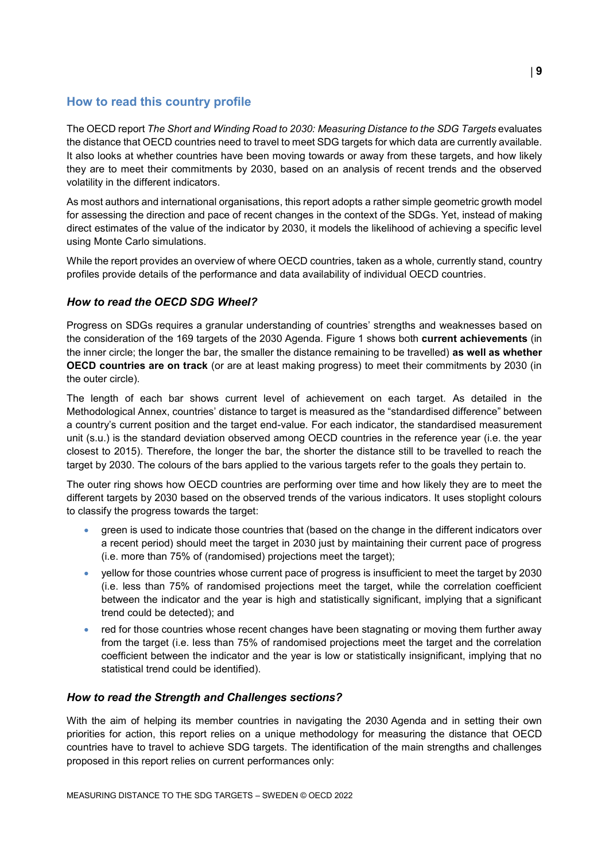## <span id="page-8-0"></span>**How to read this country profile**

The OECD report *The Short and Winding Road to 2030: Measuring Distance to the SDG Targets* evaluates the distance that OECD countries need to travel to meet SDG targets for which data are currently available. It also looks at whether countries have been moving towards or away from these targets, and how likely they are to meet their commitments by 2030, based on an analysis of recent trends and the observed volatility in the different indicators.

As most authors and international organisations, this report adopts a rather simple geometric growth model for assessing the direction and pace of recent changes in the context of the SDGs. Yet, instead of making direct estimates of the value of the indicator by 2030, it models the likelihood of achieving a specific level using Monte Carlo simulations.

While the report provides an overview of where OECD countries, taken as a whole, currently stand, country profiles provide details of the performance and data availability of individual OECD countries.

## *How to read the OECD SDG Wheel?*

Progress on SDGs requires a granular understanding of countries' strengths and weaknesses based on the consideration of the 169 targets of the 2030 Agenda. [Figure](#page-0-0) 1 shows both **current achievements** (in the inner circle; the longer the bar, the smaller the distance remaining to be travelled) **as well as whether OECD countries are on track** (or are at least making progress) to meet their commitments by 2030 (in the outer circle).

The length of each bar shows current level of achievement on each target. As detailed in the Methodological Annex, countries' distance to target is measured as the "standardised difference" between a country's current position and the target end-value. For each indicator, the standardised measurement unit (s.u.) is the standard deviation observed among OECD countries in the reference year (i.e. the year closest to 2015). Therefore, the longer the bar, the shorter the distance still to be travelled to reach the target by 2030. The colours of the bars applied to the various targets refer to the goals they pertain to.

The outer ring shows how OECD countries are performing over time and how likely they are to meet the different targets by 2030 based on the observed trends of the various indicators. It uses stoplight colours to classify the progress towards the target:

- green is used to indicate those countries that (based on the change in the different indicators over a recent period) should meet the target in 2030 just by maintaining their current pace of progress (i.e. more than 75% of (randomised) projections meet the target);
- yellow for those countries whose current pace of progress is insufficient to meet the target by 2030 (i.e. less than 75% of randomised projections meet the target, while the correlation coefficient between the indicator and the year is high and statistically significant, implying that a significant trend could be detected); and
- red for those countries whose recent changes have been stagnating or moving them further away from the target (i.e. less than 75% of randomised projections meet the target and the correlation coefficient between the indicator and the year is low or statistically insignificant, implying that no statistical trend could be identified).

## *How to read the Strength and Challenges sections?*

With the aim of helping its member countries in navigating the 2030 Agenda and in setting their own priorities for action, this report relies on a unique methodology for measuring the distance that OECD countries have to travel to achieve SDG targets. The identification of the main strengths and challenges proposed in this report relies on current performances only: